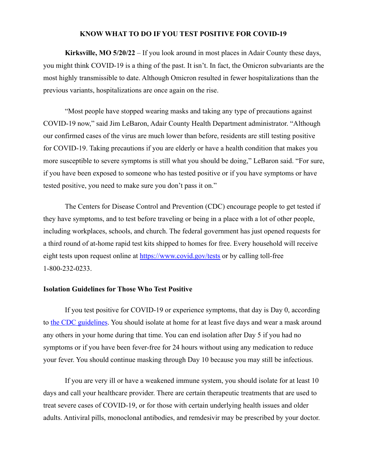## **KNOW WHAT TO DO IF YOU TEST POSITIVE FOR COVID-19**

**Kirksville, MO 5/20/22** – If you look around in most places in Adair County these days, you might think COVID-19 is a thing of the past. It isn't. In fact, the Omicron subvariants are the most highly transmissible to date. Although Omicron resulted in fewer hospitalizations than the previous variants, hospitalizations are once again on the rise.

"Most people have stopped wearing masks and taking any type of precautions against COVID-19 now," said Jim LeBaron, Adair County Health Department administrator. "Although our confirmed cases of the virus are much lower than before, residents are still testing positive for COVID-19. Taking precautions if you are elderly or have a health condition that makes you more susceptible to severe symptoms is still what you should be doing," LeBaron said. "For sure, if you have been exposed to someone who has tested positive or if you have symptoms or have tested positive, you need to make sure you don't pass it on."

The Centers for Disease Control and Prevention (CDC) encourage people to get tested if they have symptoms, and to test before traveling or being in a place with a lot of other people, including workplaces, schools, and church. The federal government has just opened requests for a third round of at-home rapid test kits shipped to homes for free. Every household will receive eight tests upon request online at [https://www.covid.gov/tests](https://www.covid.gov/tests%20) or by calling toll-free 1-800-232-0233.

## **Isolation Guidelines for Those Who Test Positive**

If you test positive for COVID-19 or experience symptoms, that day is Day 0, according to [the CDC guidelines.](https://www.cdc.gov/coronavirus/2019-ncov/your-health/quarantine-isolation.html?s_cid=11722:variant%20symptoms%20cdc:sem.ga:p:RG:GM:gen:PTN:FY22) You should isolate at home for at least five days and wear a mask around any others in your home during that time. You can end isolation after Day 5 if you had no symptoms or if you have been fever-free for 24 hours without using any medication to reduce your fever. You should continue masking through Day 10 because you may still be infectious.

If you are very ill or have a weakened immune system, you should isolate for at least 10 days and call your healthcare provider. There are certain therapeutic treatments that are used to treat severe cases of COVID-19, or for those with certain underlying health issues and older adults. Antiviral pills, monoclonal antibodies, and remdesivir may be prescribed by your doctor.